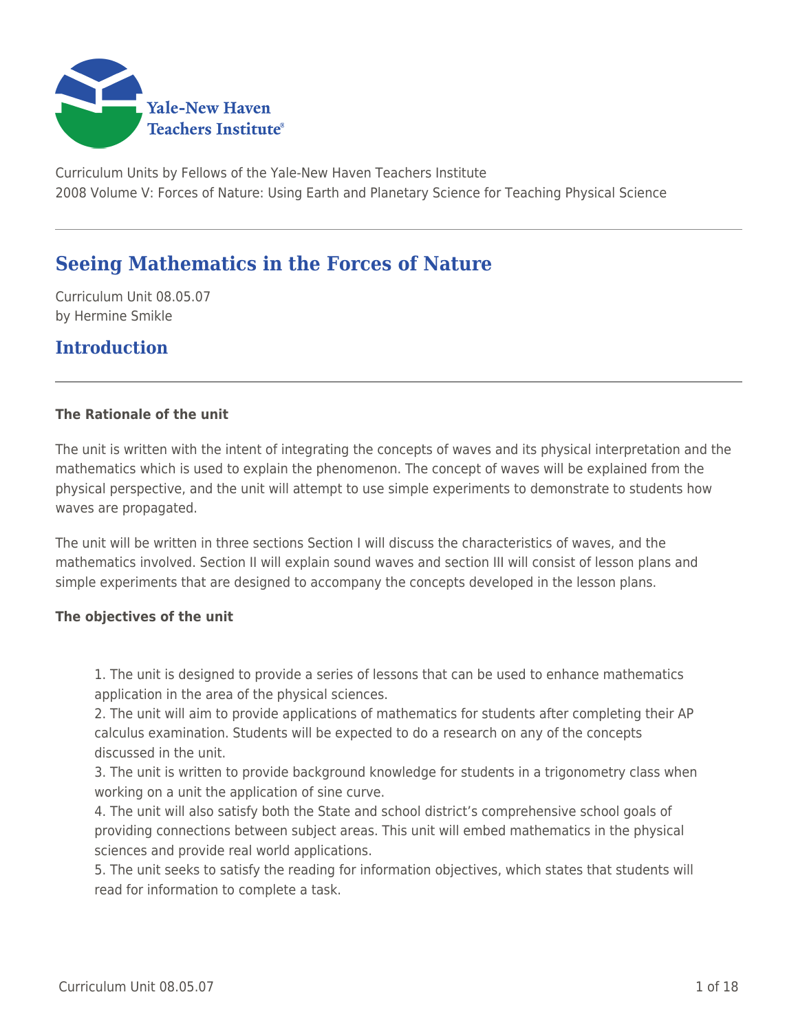

Curriculum Units by Fellows of the Yale-New Haven Teachers Institute 2008 Volume V: Forces of Nature: Using Earth and Planetary Science for Teaching Physical Science

# **Seeing Mathematics in the Forces of Nature**

Curriculum Unit 08.05.07 by Hermine Smikle

# **Introduction**

#### **The Rationale of the unit**

The unit is written with the intent of integrating the concepts of waves and its physical interpretation and the mathematics which is used to explain the phenomenon. The concept of waves will be explained from the physical perspective, and the unit will attempt to use simple experiments to demonstrate to students how waves are propagated.

The unit will be written in three sections Section I will discuss the characteristics of waves, and the mathematics involved. Section II will explain sound waves and section III will consist of lesson plans and simple experiments that are designed to accompany the concepts developed in the lesson plans.

#### **The objectives of the unit**

1. The unit is designed to provide a series of lessons that can be used to enhance mathematics application in the area of the physical sciences.

2. The unit will aim to provide applications of mathematics for students after completing their AP calculus examination. Students will be expected to do a research on any of the concepts discussed in the unit.

3. The unit is written to provide background knowledge for students in a trigonometry class when working on a unit the application of sine curve.

4. The unit will also satisfy both the State and school district's comprehensive school goals of providing connections between subject areas. This unit will embed mathematics in the physical sciences and provide real world applications.

5. The unit seeks to satisfy the reading for information objectives, which states that students will read for information to complete a task.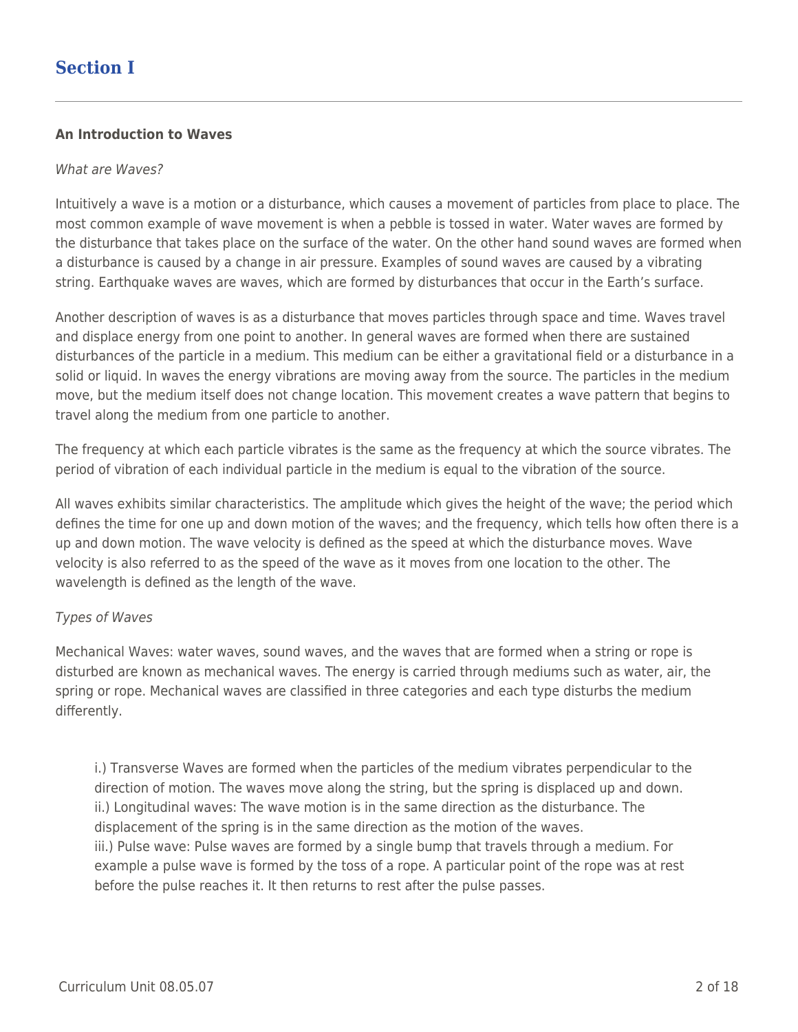# **Section I**

#### **An Introduction to Waves**

#### What are Waves?

Intuitively a wave is a motion or a disturbance, which causes a movement of particles from place to place. The most common example of wave movement is when a pebble is tossed in water. Water waves are formed by the disturbance that takes place on the surface of the water. On the other hand sound waves are formed when a disturbance is caused by a change in air pressure. Examples of sound waves are caused by a vibrating string. Earthquake waves are waves, which are formed by disturbances that occur in the Earth's surface.

Another description of waves is as a disturbance that moves particles through space and time. Waves travel and displace energy from one point to another. In general waves are formed when there are sustained disturbances of the particle in a medium. This medium can be either a gravitational field or a disturbance in a solid or liquid. In waves the energy vibrations are moving away from the source. The particles in the medium move, but the medium itself does not change location. This movement creates a wave pattern that begins to travel along the medium from one particle to another.

The frequency at which each particle vibrates is the same as the frequency at which the source vibrates. The period of vibration of each individual particle in the medium is equal to the vibration of the source.

All waves exhibits similar characteristics. The amplitude which gives the height of the wave; the period which defines the time for one up and down motion of the waves; and the frequency, which tells how often there is a up and down motion. The wave velocity is defined as the speed at which the disturbance moves. Wave velocity is also referred to as the speed of the wave as it moves from one location to the other. The wavelength is defined as the length of the wave.

#### Types of Waves

Mechanical Waves: water waves, sound waves, and the waves that are formed when a string or rope is disturbed are known as mechanical waves. The energy is carried through mediums such as water, air, the spring or rope. Mechanical waves are classified in three categories and each type disturbs the medium differently.

i.) Transverse Waves are formed when the particles of the medium vibrates perpendicular to the direction of motion. The waves move along the string, but the spring is displaced up and down. ii.) Longitudinal waves: The wave motion is in the same direction as the disturbance. The displacement of the spring is in the same direction as the motion of the waves. iii.) Pulse wave: Pulse waves are formed by a single bump that travels through a medium. For example a pulse wave is formed by the toss of a rope. A particular point of the rope was at rest before the pulse reaches it. It then returns to rest after the pulse passes.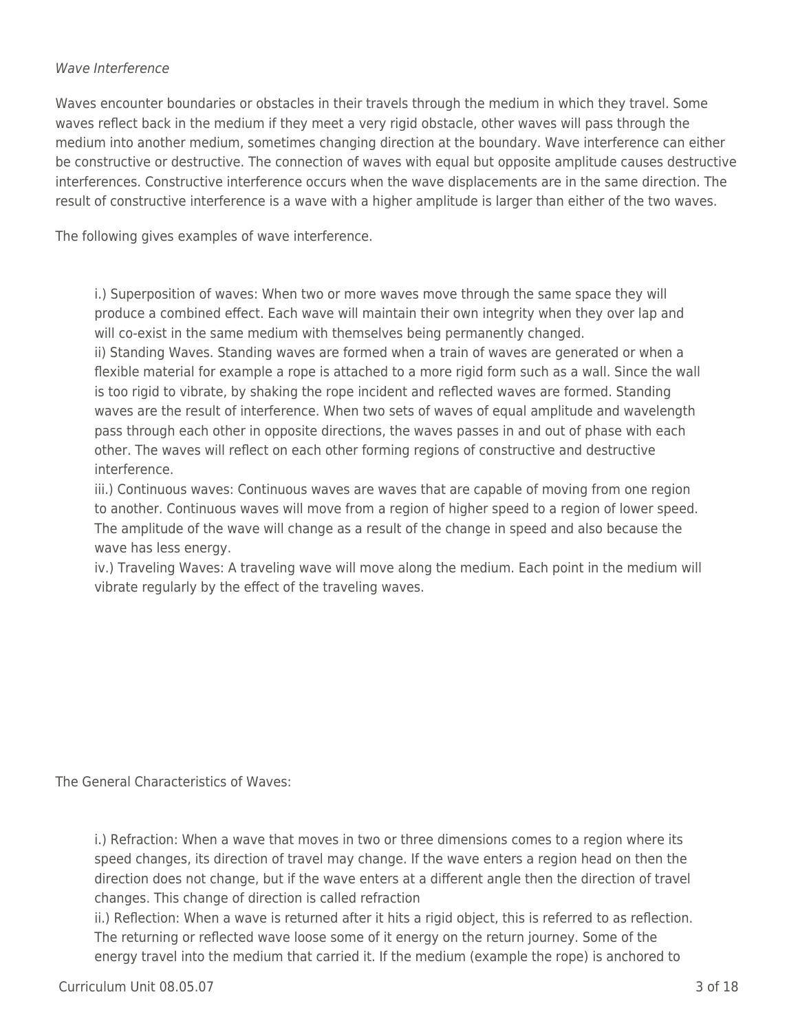#### Wave Interference

Waves encounter boundaries or obstacles in their travels through the medium in which they travel. Some waves reflect back in the medium if they meet a very rigid obstacle, other waves will pass through the medium into another medium, sometimes changing direction at the boundary. Wave interference can either be constructive or destructive. The connection of waves with equal but opposite amplitude causes destructive interferences. Constructive interference occurs when the wave displacements are in the same direction. The result of constructive interference is a wave with a higher amplitude is larger than either of the two waves.

The following gives examples of wave interference.

i.) Superposition of waves: When two or more waves move through the same space they will produce a combined effect. Each wave will maintain their own integrity when they over lap and will co-exist in the same medium with themselves being permanently changed.

ii) Standing Waves. Standing waves are formed when a train of waves are generated or when a flexible material for example a rope is attached to a more rigid form such as a wall. Since the wall is too rigid to vibrate, by shaking the rope incident and reflected waves are formed. Standing waves are the result of interference. When two sets of waves of equal amplitude and wavelength pass through each other in opposite directions, the waves passes in and out of phase with each other. The waves will reflect on each other forming regions of constructive and destructive interference.

iii.) Continuous waves: Continuous waves are waves that are capable of moving from one region to another. Continuous waves will move from a region of higher speed to a region of lower speed. The amplitude of the wave will change as a result of the change in speed and also because the wave has less energy.

iv.) Traveling Waves: A traveling wave will move along the medium. Each point in the medium will vibrate regularly by the effect of the traveling waves.

The General Characteristics of Waves:

i.) Refraction: When a wave that moves in two or three dimensions comes to a region where its speed changes, its direction of travel may change. If the wave enters a region head on then the direction does not change, but if the wave enters at a different angle then the direction of travel changes. This change of direction is called refraction

ii.) Reflection: When a wave is returned after it hits a rigid object, this is referred to as reflection. The returning or reflected wave loose some of it energy on the return journey. Some of the energy travel into the medium that carried it. If the medium (example the rope) is anchored to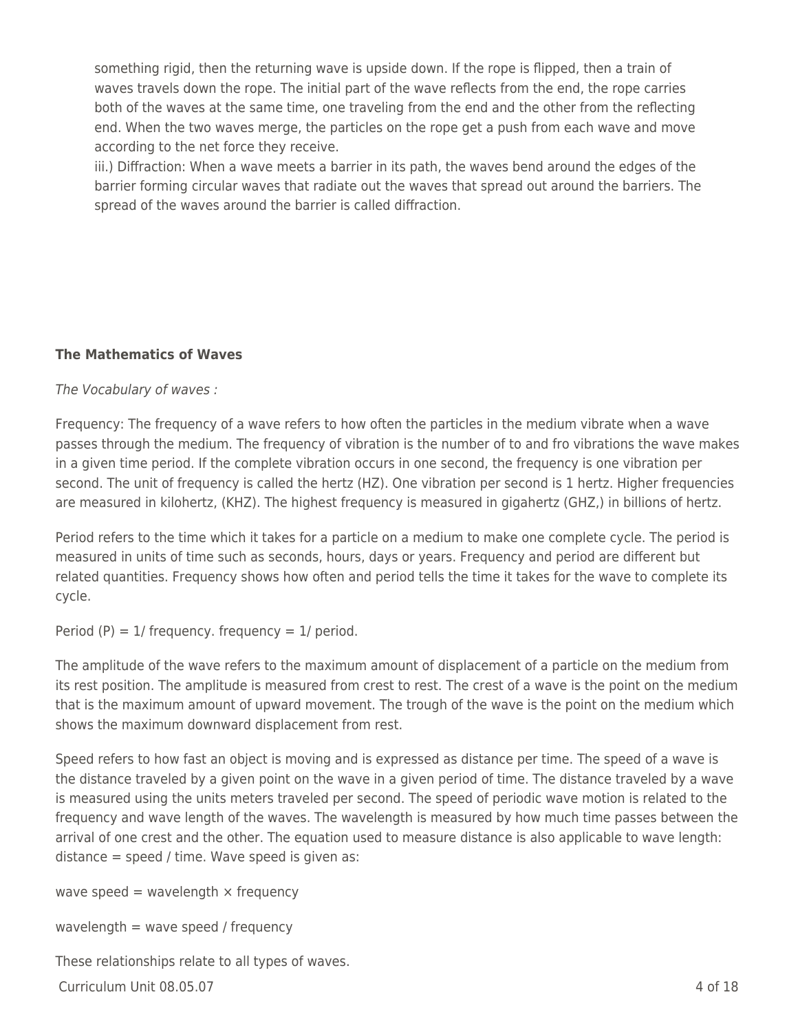something rigid, then the returning wave is upside down. If the rope is flipped, then a train of waves travels down the rope. The initial part of the wave reflects from the end, the rope carries both of the waves at the same time, one traveling from the end and the other from the reflecting end. When the two waves merge, the particles on the rope get a push from each wave and move according to the net force they receive.

iii.) Diffraction: When a wave meets a barrier in its path, the waves bend around the edges of the barrier forming circular waves that radiate out the waves that spread out around the barriers. The spread of the waves around the barrier is called diffraction.

# **The Mathematics of Waves**

#### The Vocabulary of waves :

Frequency: The frequency of a wave refers to how often the particles in the medium vibrate when a wave passes through the medium. The frequency of vibration is the number of to and fro vibrations the wave makes in a given time period. If the complete vibration occurs in one second, the frequency is one vibration per second. The unit of frequency is called the hertz (HZ). One vibration per second is 1 hertz. Higher frequencies are measured in kilohertz, (KHZ). The highest frequency is measured in gigahertz (GHZ,) in billions of hertz.

Period refers to the time which it takes for a particle on a medium to make one complete cycle. The period is measured in units of time such as seconds, hours, days or years. Frequency and period are different but related quantities. Frequency shows how often and period tells the time it takes for the wave to complete its cycle.

Period (P) =  $1/$  frequency. frequency =  $1/$  period.

The amplitude of the wave refers to the maximum amount of displacement of a particle on the medium from its rest position. The amplitude is measured from crest to rest. The crest of a wave is the point on the medium that is the maximum amount of upward movement. The trough of the wave is the point on the medium which shows the maximum downward displacement from rest.

Speed refers to how fast an object is moving and is expressed as distance per time. The speed of a wave is the distance traveled by a given point on the wave in a given period of time. The distance traveled by a wave is measured using the units meters traveled per second. The speed of periodic wave motion is related to the frequency and wave length of the waves. The wavelength is measured by how much time passes between the arrival of one crest and the other. The equation used to measure distance is also applicable to wave length: distance  $=$  speed / time. Wave speed is given as:

wave speed = wavelength  $\times$  frequency

wavelength  $=$  wave speed / frequency

These relationships relate to all types of waves.

 $Curir$  Unit 08.05.07 4 of 18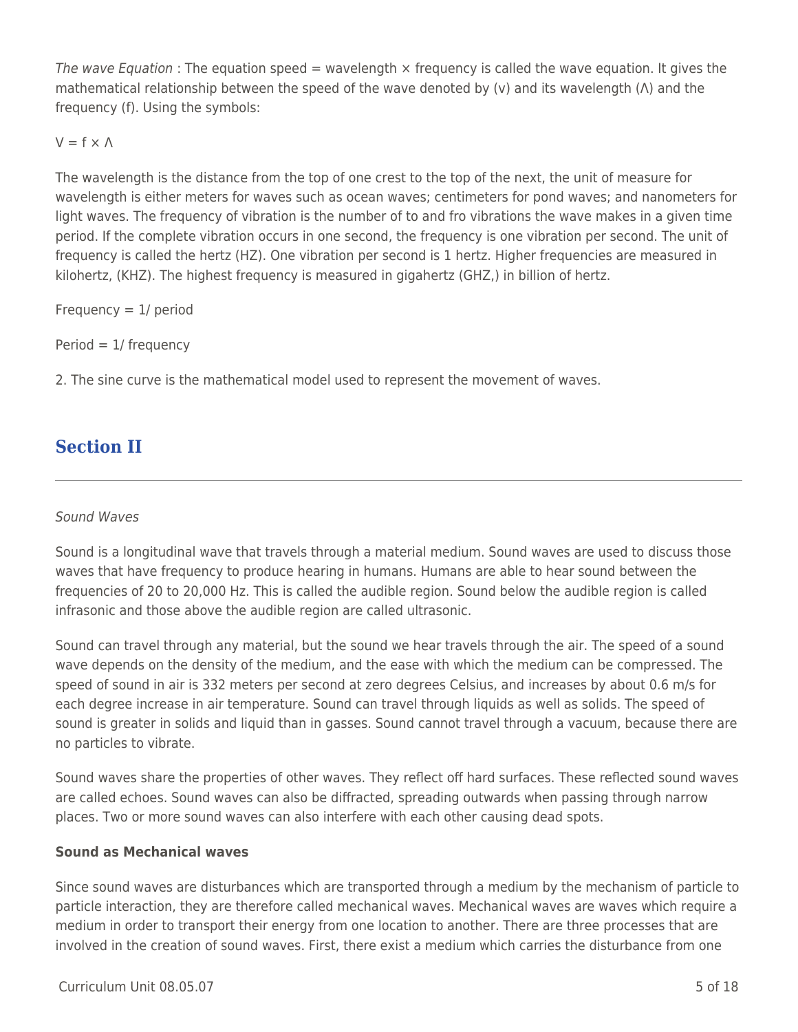The wave Equation : The equation speed  $=$  wavelength  $\times$  frequency is called the wave equation. It gives the mathematical relationship between the speed of the wave denoted by (v) and its wavelength (Λ) and the frequency (f). Using the symbols:

# $V = f \times \Lambda$

The wavelength is the distance from the top of one crest to the top of the next, the unit of measure for wavelength is either meters for waves such as ocean waves; centimeters for pond waves; and nanometers for light waves. The frequency of vibration is the number of to and fro vibrations the wave makes in a given time period. If the complete vibration occurs in one second, the frequency is one vibration per second. The unit of frequency is called the hertz (HZ). One vibration per second is 1 hertz. Higher frequencies are measured in kilohertz, (KHZ). The highest frequency is measured in gigahertz (GHZ,) in billion of hertz.

Frequency  $= 1$  period

Period = 1/ frequency

2. The sine curve is the mathematical model used to represent the movement of waves.

# **Section II**

#### Sound Waves

Sound is a longitudinal wave that travels through a material medium. Sound waves are used to discuss those waves that have frequency to produce hearing in humans. Humans are able to hear sound between the frequencies of 20 to 20,000 Hz. This is called the audible region. Sound below the audible region is called infrasonic and those above the audible region are called ultrasonic.

Sound can travel through any material, but the sound we hear travels through the air. The speed of a sound wave depends on the density of the medium, and the ease with which the medium can be compressed. The speed of sound in air is 332 meters per second at zero degrees Celsius, and increases by about 0.6 m/s for each degree increase in air temperature. Sound can travel through liquids as well as solids. The speed of sound is greater in solids and liquid than in gasses. Sound cannot travel through a vacuum, because there are no particles to vibrate.

Sound waves share the properties of other waves. They reflect off hard surfaces. These reflected sound waves are called echoes. Sound waves can also be diffracted, spreading outwards when passing through narrow places. Two or more sound waves can also interfere with each other causing dead spots.

#### **Sound as Mechanical waves**

Since sound waves are disturbances which are transported through a medium by the mechanism of particle to particle interaction, they are therefore called mechanical waves. Mechanical waves are waves which require a medium in order to transport their energy from one location to another. There are three processes that are involved in the creation of sound waves. First, there exist a medium which carries the disturbance from one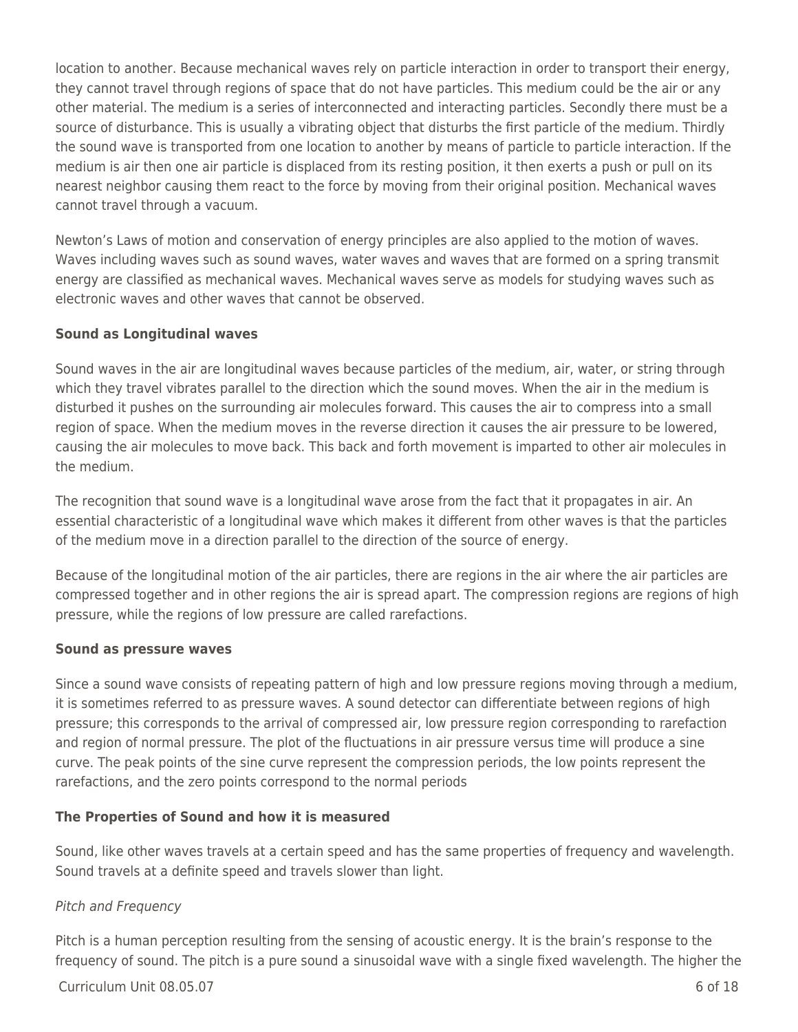location to another. Because mechanical waves rely on particle interaction in order to transport their energy, they cannot travel through regions of space that do not have particles. This medium could be the air or any other material. The medium is a series of interconnected and interacting particles. Secondly there must be a source of disturbance. This is usually a vibrating object that disturbs the first particle of the medium. Thirdly the sound wave is transported from one location to another by means of particle to particle interaction. If the medium is air then one air particle is displaced from its resting position, it then exerts a push or pull on its nearest neighbor causing them react to the force by moving from their original position. Mechanical waves cannot travel through a vacuum.

Newton's Laws of motion and conservation of energy principles are also applied to the motion of waves. Waves including waves such as sound waves, water waves and waves that are formed on a spring transmit energy are classified as mechanical waves. Mechanical waves serve as models for studying waves such as electronic waves and other waves that cannot be observed.

# **Sound as Longitudinal waves**

Sound waves in the air are longitudinal waves because particles of the medium, air, water, or string through which they travel vibrates parallel to the direction which the sound moves. When the air in the medium is disturbed it pushes on the surrounding air molecules forward. This causes the air to compress into a small region of space. When the medium moves in the reverse direction it causes the air pressure to be lowered, causing the air molecules to move back. This back and forth movement is imparted to other air molecules in the medium.

The recognition that sound wave is a longitudinal wave arose from the fact that it propagates in air. An essential characteristic of a longitudinal wave which makes it different from other waves is that the particles of the medium move in a direction parallel to the direction of the source of energy.

Because of the longitudinal motion of the air particles, there are regions in the air where the air particles are compressed together and in other regions the air is spread apart. The compression regions are regions of high pressure, while the regions of low pressure are called rarefactions.

#### **Sound as pressure waves**

Since a sound wave consists of repeating pattern of high and low pressure regions moving through a medium, it is sometimes referred to as pressure waves. A sound detector can differentiate between regions of high pressure; this corresponds to the arrival of compressed air, low pressure region corresponding to rarefaction and region of normal pressure. The plot of the fluctuations in air pressure versus time will produce a sine curve. The peak points of the sine curve represent the compression periods, the low points represent the rarefactions, and the zero points correspond to the normal periods

# **The Properties of Sound and how it is measured**

Sound, like other waves travels at a certain speed and has the same properties of frequency and wavelength. Sound travels at a definite speed and travels slower than light.

# Pitch and Frequency

Pitch is a human perception resulting from the sensing of acoustic energy. It is the brain's response to the frequency of sound. The pitch is a pure sound a sinusoidal wave with a single fixed wavelength. The higher the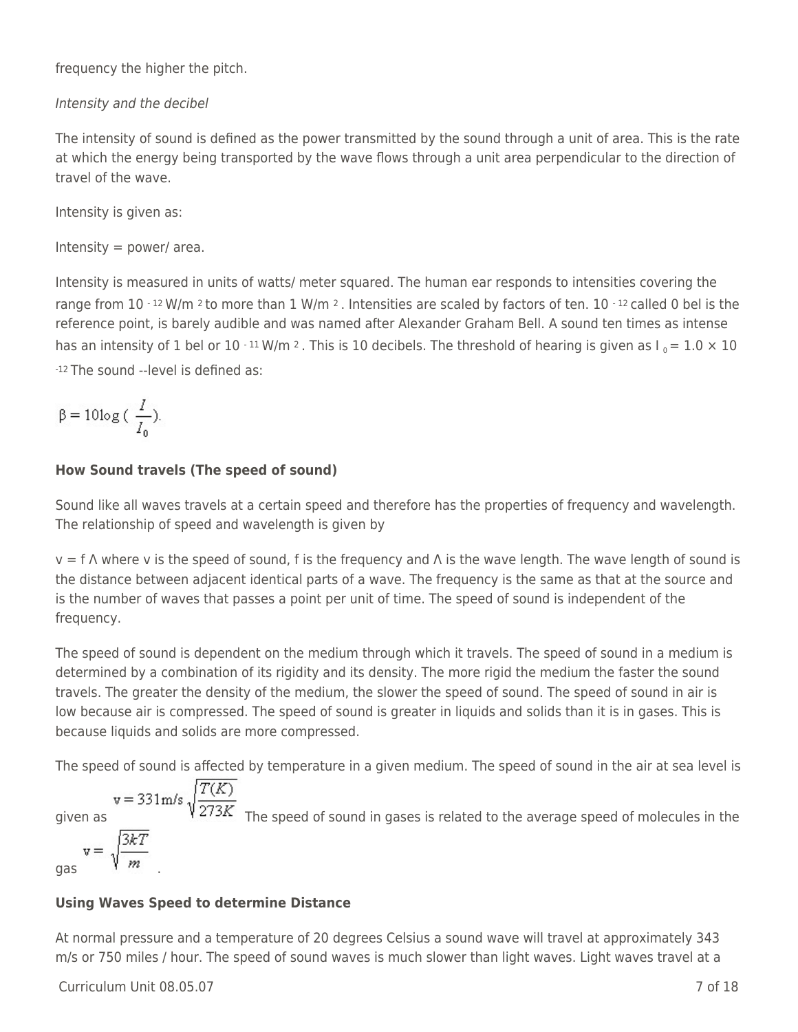frequency the higher the pitch.

# Intensity and the decibel

The intensity of sound is defined as the power transmitted by the sound through a unit of area. This is the rate at which the energy being transported by the wave flows through a unit area perpendicular to the direction of travel of the wave.

Intensity is given as:

Intensity  $=$  power/ area.

Intensity is measured in units of watts/ meter squared. The human ear responds to intensities covering the range from 10 - 12 W/m 2 to more than 1 W/m 2. Intensities are scaled by factors of ten. 10 - 12 called 0 bel is the reference point, is barely audible and was named after Alexander Graham Bell. A sound ten times as intense has an intensity of 1 bel or 10  $\cdot$  11 W/m 2. This is 10 decibels. The threshold of hearing is given as  $I_0 = 1.0 \times 10$ -12 The sound --level is defined as:

$$
\beta = 10 \log \left( \frac{I}{I_0} \right).
$$

# **How Sound travels (The speed of sound)**

Sound like all waves travels at a certain speed and therefore has the properties of frequency and wavelength. The relationship of speed and wavelength is given by

 $v = f \wedge$  where v is the speed of sound, f is the frequency and  $\wedge$  is the wave length. The wave length of sound is the distance between adjacent identical parts of a wave. The frequency is the same as that at the source and is the number of waves that passes a point per unit of time. The speed of sound is independent of the frequency.

The speed of sound is dependent on the medium through which it travels. The speed of sound in a medium is determined by a combination of its rigidity and its density. The more rigid the medium the faster the sound travels. The greater the density of the medium, the slower the speed of sound. The speed of sound in air is low because air is compressed. The speed of sound is greater in liquids and solids than it is in gases. This is because liquids and solids are more compressed.

The speed of sound is affected by temperature in a given medium. The speed of sound in the air at sea level is

 $v = 331 \text{m/s} \sqrt{\frac{T(K)}{273K}}$  The speed of sound in gases is related to the average speed of molecules in the

# gas 1 m .

# **Using Waves Speed to determine Distance**

At normal pressure and a temperature of 20 degrees Celsius a sound wave will travel at approximately 343 m/s or 750 miles / hour. The speed of sound waves is much slower than light waves. Light waves travel at a

 $C$ urriculum Unit 08.05.07  $\qquad \qquad$  7 of 18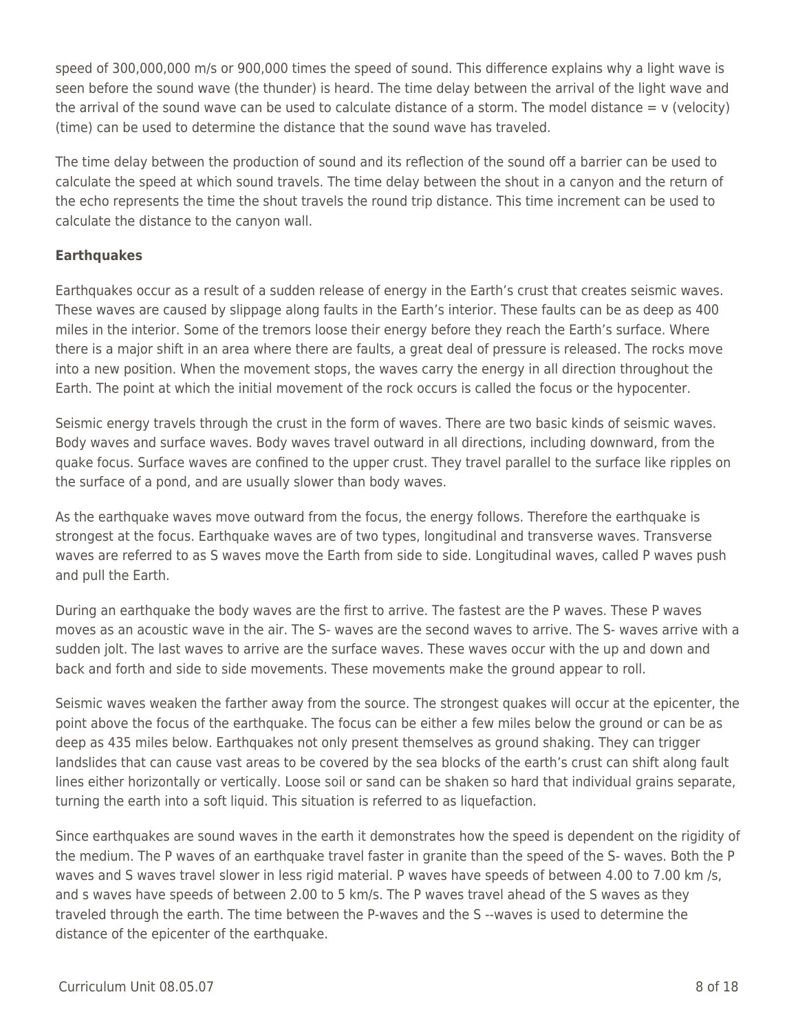speed of 300,000,000 m/s or 900,000 times the speed of sound. This difference explains why a light wave is seen before the sound wave (the thunder) is heard. The time delay between the arrival of the light wave and the arrival of the sound wave can be used to calculate distance of a storm. The model distance  $= v$  (velocity) (time) can be used to determine the distance that the sound wave has traveled.

The time delay between the production of sound and its reflection of the sound off a barrier can be used to calculate the speed at which sound travels. The time delay between the shout in a canyon and the return of the echo represents the time the shout travels the round trip distance. This time increment can be used to calculate the distance to the canyon wall.

# **Earthquakes**

Earthquakes occur as a result of a sudden release of energy in the Earth's crust that creates seismic waves. These waves are caused by slippage along faults in the Earth's interior. These faults can be as deep as 400 miles in the interior. Some of the tremors loose their energy before they reach the Earth's surface. Where there is a major shift in an area where there are faults, a great deal of pressure is released. The rocks move into a new position. When the movement stops, the waves carry the energy in all direction throughout the Earth. The point at which the initial movement of the rock occurs is called the focus or the hypocenter.

Seismic energy travels through the crust in the form of waves. There are two basic kinds of seismic waves. Body waves and surface waves. Body waves travel outward in all directions, including downward, from the quake focus. Surface waves are confined to the upper crust. They travel parallel to the surface like ripples on the surface of a pond, and are usually slower than body waves.

As the earthquake waves move outward from the focus, the energy follows. Therefore the earthquake is strongest at the focus. Earthquake waves are of two types, longitudinal and transverse waves. Transverse waves are referred to as S waves move the Earth from side to side. Longitudinal waves, called P waves push and pull the Earth.

During an earthquake the body waves are the first to arrive. The fastest are the P waves. These P waves moves as an acoustic wave in the air. The S- waves are the second waves to arrive. The S- waves arrive with a sudden jolt. The last waves to arrive are the surface waves. These waves occur with the up and down and back and forth and side to side movements. These movements make the ground appear to roll.

Seismic waves weaken the farther away from the source. The strongest quakes will occur at the epicenter, the point above the focus of the earthquake. The focus can be either a few miles below the ground or can be as deep as 435 miles below. Earthquakes not only present themselves as ground shaking. They can trigger landslides that can cause vast areas to be covered by the sea blocks of the earth's crust can shift along fault lines either horizontally or vertically. Loose soil or sand can be shaken so hard that individual grains separate, turning the earth into a soft liquid. This situation is referred to as liquefaction.

Since earthquakes are sound waves in the earth it demonstrates how the speed is dependent on the rigidity of the medium. The P waves of an earthquake travel faster in granite than the speed of the S- waves. Both the P waves and S waves travel slower in less rigid material. P waves have speeds of between 4.00 to 7.00 km /s, and s waves have speeds of between 2.00 to 5 km/s. The P waves travel ahead of the S waves as they traveled through the earth. The time between the P-waves and the S --waves is used to determine the distance of the epicenter of the earthquake.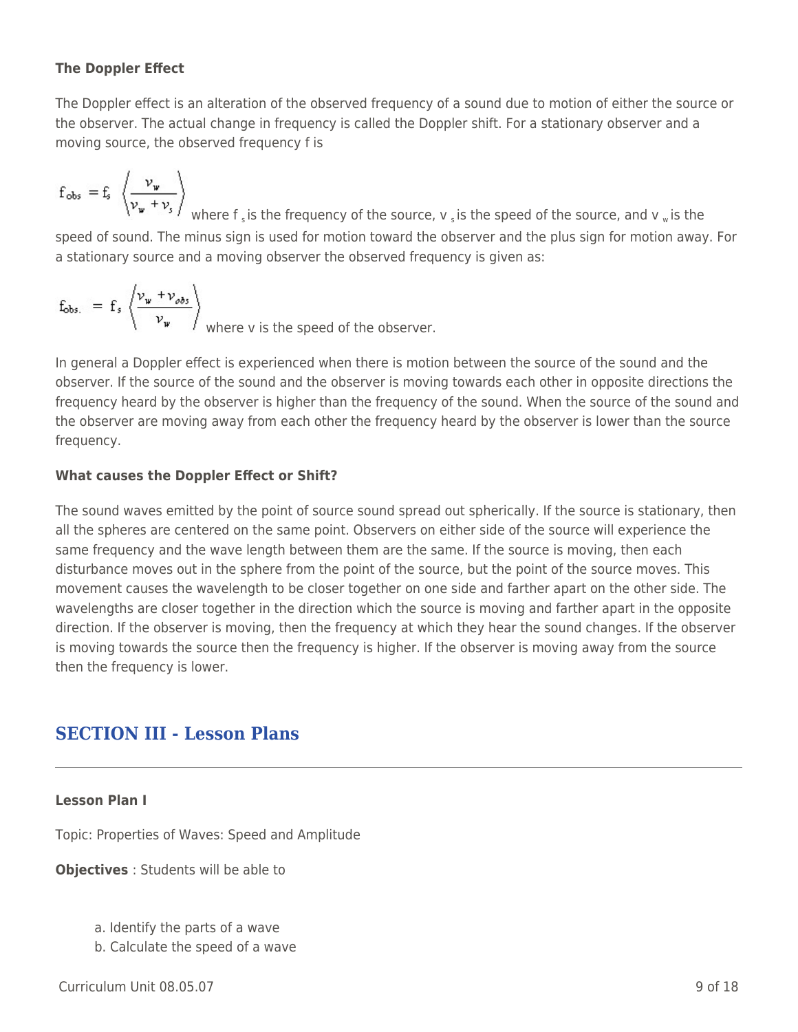# **The Doppler Effect**

The Doppler effect is an alteration of the observed frequency of a sound due to motion of either the source or the observer. The actual change in frequency is called the Doppler shift. For a stationary observer and a moving source, the observed frequency f is

$$
f_{obs} = f_s \ \left< \frac{\nu_{\psi}}{\nu_{\psi} + \nu_s} \right>
$$

where f  $_s$  is the frequency of the source,  $v_s$  is the speed of the source, and  $v_w$  is the speed of sound. The minus sign is used for motion toward the observer and the plus sign for motion away. For a stationary source and a moving observer the observed frequency is given as:

$$
f_{obs.} = f_s \left\langle \frac{v_w + v_{obs}}{v_w} \right\rangle_{\text{where } v \text{ is the speed of the observer.}}
$$

In general a Doppler effect is experienced when there is motion between the source of the sound and the observer. If the source of the sound and the observer is moving towards each other in opposite directions the frequency heard by the observer is higher than the frequency of the sound. When the source of the sound and the observer are moving away from each other the frequency heard by the observer is lower than the source frequency.

# **What causes the Doppler Effect or Shift?**

The sound waves emitted by the point of source sound spread out spherically. If the source is stationary, then all the spheres are centered on the same point. Observers on either side of the source will experience the same frequency and the wave length between them are the same. If the source is moving, then each disturbance moves out in the sphere from the point of the source, but the point of the source moves. This movement causes the wavelength to be closer together on one side and farther apart on the other side. The wavelengths are closer together in the direction which the source is moving and farther apart in the opposite direction. If the observer is moving, then the frequency at which they hear the sound changes. If the observer is moving towards the source then the frequency is higher. If the observer is moving away from the source then the frequency is lower.

# **SECTION III - Lesson Plans**

# **Lesson Plan I**

Topic: Properties of Waves: Speed and Amplitude

**Objectives** : Students will be able to

- a. Identify the parts of a wave
- b. Calculate the speed of a wave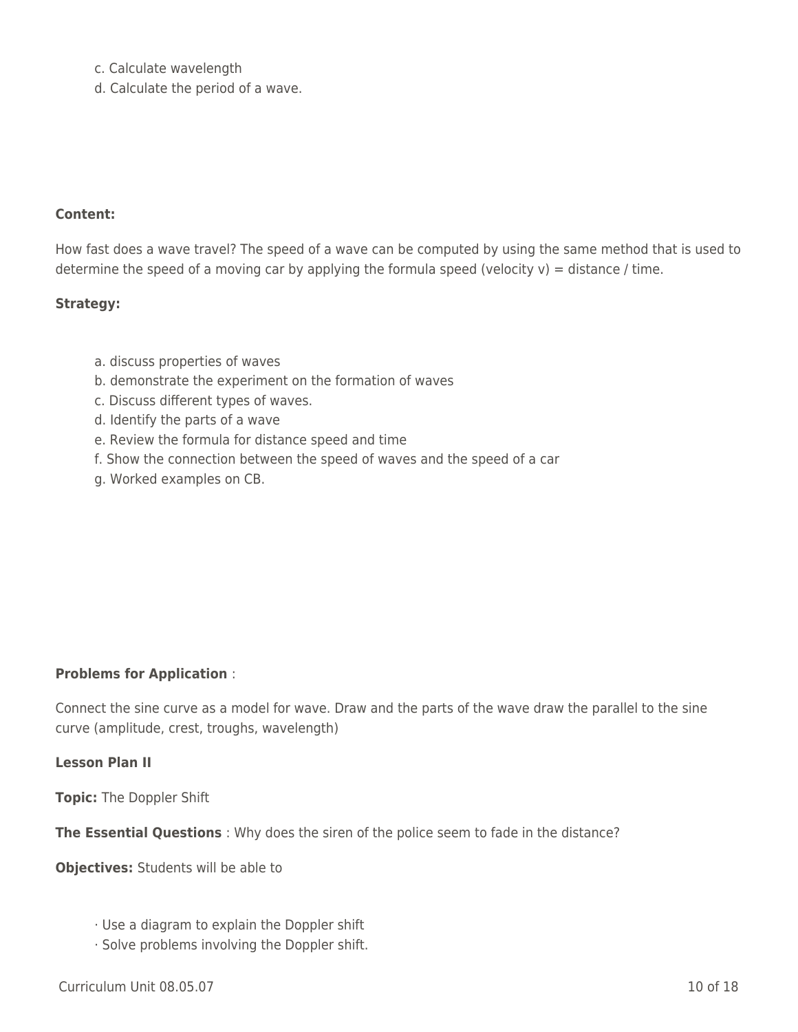- c. Calculate wavelength
- d. Calculate the period of a wave.

#### **Content:**

How fast does a wave travel? The speed of a wave can be computed by using the same method that is used to determine the speed of a moving car by applying the formula speed (velocity  $v$ ) = distance / time.

#### **Strategy:**

- a. discuss properties of waves
- b. demonstrate the experiment on the formation of waves
- c. Discuss different types of waves.
- d. Identify the parts of a wave
- e. Review the formula for distance speed and time
- f. Show the connection between the speed of waves and the speed of a car
- g. Worked examples on CB.

#### **Problems for Application** :

Connect the sine curve as a model for wave. Draw and the parts of the wave draw the parallel to the sine curve (amplitude, crest, troughs, wavelength)

#### **Lesson Plan II**

**Topic:** The Doppler Shift

**The Essential Questions** : Why does the siren of the police seem to fade in the distance?

**Objectives:** Students will be able to

- · Use a diagram to explain the Doppler shift
- · Solve problems involving the Doppler shift.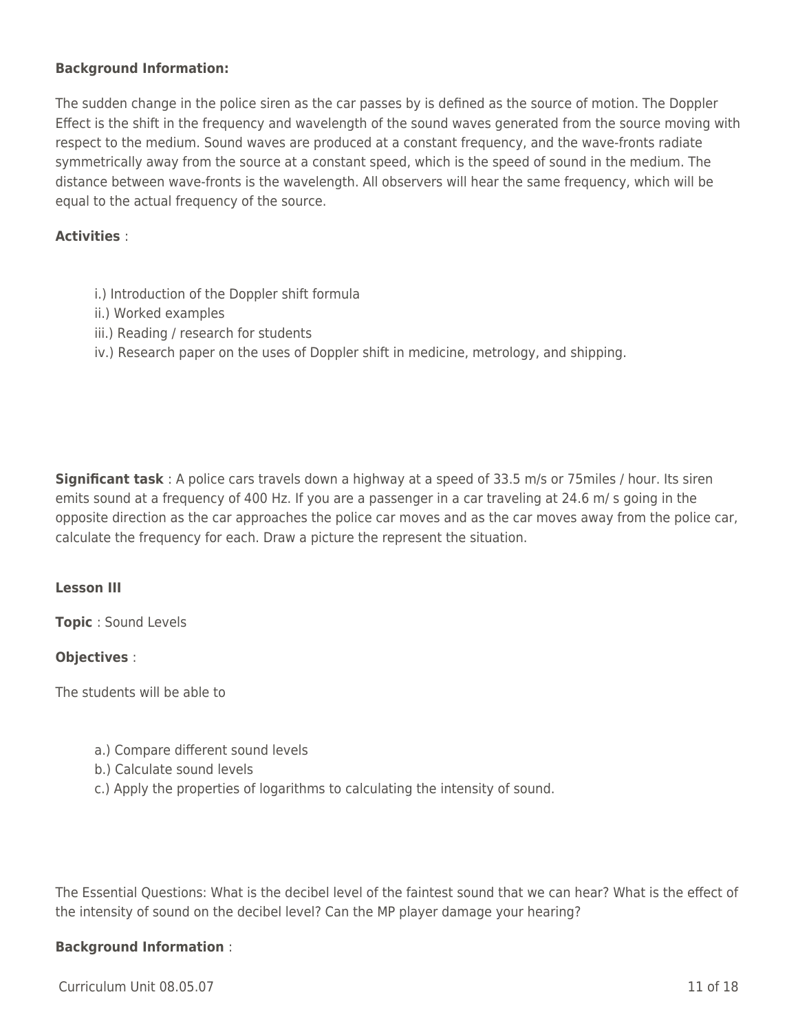#### **Background Information:**

The sudden change in the police siren as the car passes by is defined as the source of motion. The Doppler Effect is the shift in the frequency and wavelength of the sound waves generated from the source moving with respect to the medium. Sound waves are produced at a constant frequency, and the wave-fronts radiate symmetrically away from the source at a constant speed, which is the speed of sound in the medium. The distance between wave-fronts is the wavelength. All observers will hear the same frequency, which will be equal to the actual frequency of the source.

#### **Activities** :

- i.) Introduction of the Doppler shift formula
- ii.) Worked examples
- iii.) Reading / research for students
- iv.) Research paper on the uses of Doppler shift in medicine, metrology, and shipping.

**Significant task** : A police cars travels down a highway at a speed of 33.5 m/s or 75miles / hour. Its siren emits sound at a frequency of 400 Hz. If you are a passenger in a car traveling at 24.6 m/ s going in the opposite direction as the car approaches the police car moves and as the car moves away from the police car, calculate the frequency for each. Draw a picture the represent the situation.

#### **Lesson III**

**Topic** : Sound Levels

#### **Objectives** :

The students will be able to

- a.) Compare different sound levels
- b.) Calculate sound levels
- c.) Apply the properties of logarithms to calculating the intensity of sound.

The Essential Questions: What is the decibel level of the faintest sound that we can hear? What is the effect of the intensity of sound on the decibel level? Can the MP player damage your hearing?

#### **Background Information** :

Curriculum Unit 08.05.07 11 of 18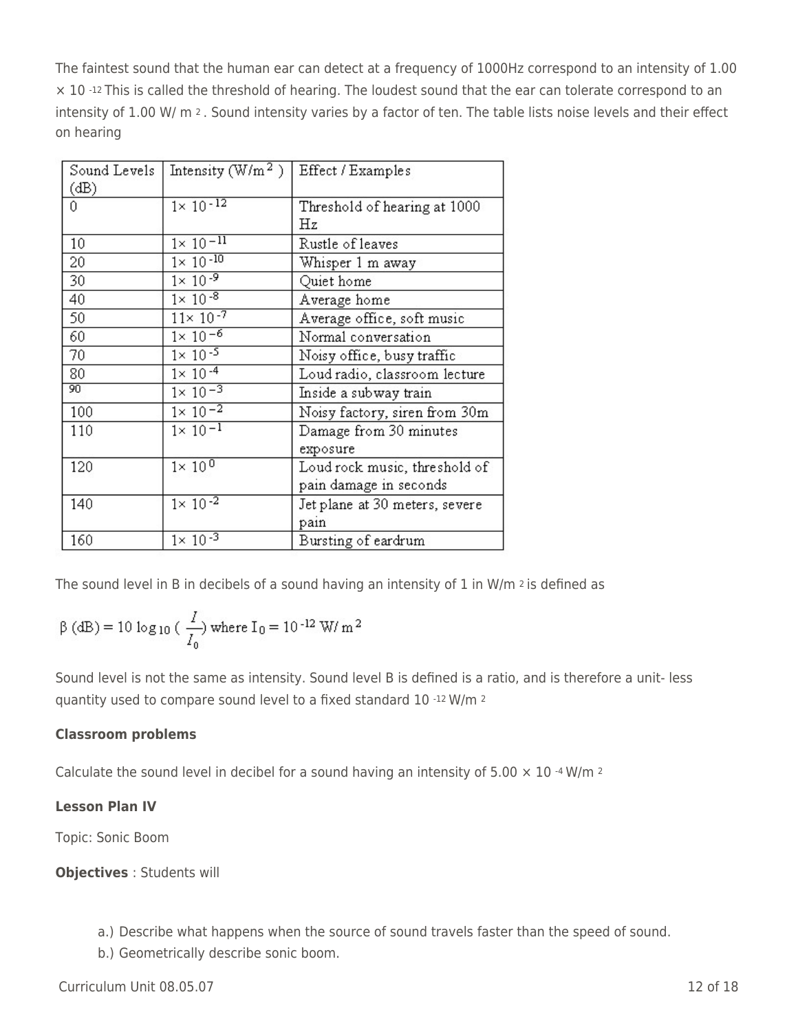The faintest sound that the human ear can detect at a frequency of 1000Hz correspond to an intensity of 1.00 × 10 -12 This is called the threshold of hearing. The loudest sound that the ear can tolerate correspond to an intensity of 1.00 W/ m 2. Sound intensity varies by a factor of ten. The table lists noise levels and their effect on hearing

| Sound Levels | Intensity $(\text{W/m}^2)$ | Effect / Examples              |
|--------------|----------------------------|--------------------------------|
| (dB)         |                            |                                |
| 0            | $1 \times 10^{-12}$        | Threshold of hearing at 1000   |
|              |                            | Ηz                             |
| 10           | $1 \times 10^{-11}$        | Rustle of leaves               |
| 20           | $1 \times 10^{-10}$        | Whisper 1 m away               |
| 30           | $1 \times 10^{-9}$         | Quiet home                     |
| 40           | $1 \times 10^{-8}$         | Average home                   |
| 50           | $11 \times 10^{-7}$        | Average office, soft music     |
| 60           | $1 \times 10^{-6}$         | Normal conversation            |
| 70           | $1 \times 10^{-5}$         | Noisy office, busy traffic     |
| 80           | $1 \times 10^{-4}$         | Loud radio, classroom lecture  |
| 90           | $1 \times 10^{-3}$         | Inside a subway train          |
| 100          | $1 \times 10^{-2}$         | Noisy factory, siren from 30m  |
| 110          | $1 \times 10^{-1}$         | Damage from 30 minutes         |
|              |                            | exposure                       |
| 120          | $1 \times 10^{0}$          | Loud rock music, threshold of  |
|              |                            | pain damage in seconds         |
| 140          | $1 \times 10^{-2}$         | Jet plane at 30 meters, severe |
|              |                            | pain                           |
| 160          | $1 \times 10^{-3}$         | Bursting of eardrum            |

The sound level in Β in decibels of a sound having an intensity of 1 in W/m 2 is defined as

$$
\beta(dB) = 10 \log_{10} \left( \frac{I}{I_0} \right) \text{ where } I_0 = 10^{-12} \text{ W/m}^2
$$

Sound level is not the same as intensity. Sound level Β is defined is a ratio, and is therefore a unit- less quantity used to compare sound level to a fixed standard 10 -12 W/m <sup>2</sup>

# **Classroom problems**

Calculate the sound level in decibel for a sound having an intensity of 5.00  $\times$  10  $\cdot$ 4 W/m  $\cdot$ 

# **Lesson Plan IV**

Topic: Sonic Boom

# **Objectives** : Students will

- a.) Describe what happens when the source of sound travels faster than the speed of sound.
- b.) Geometrically describe sonic boom.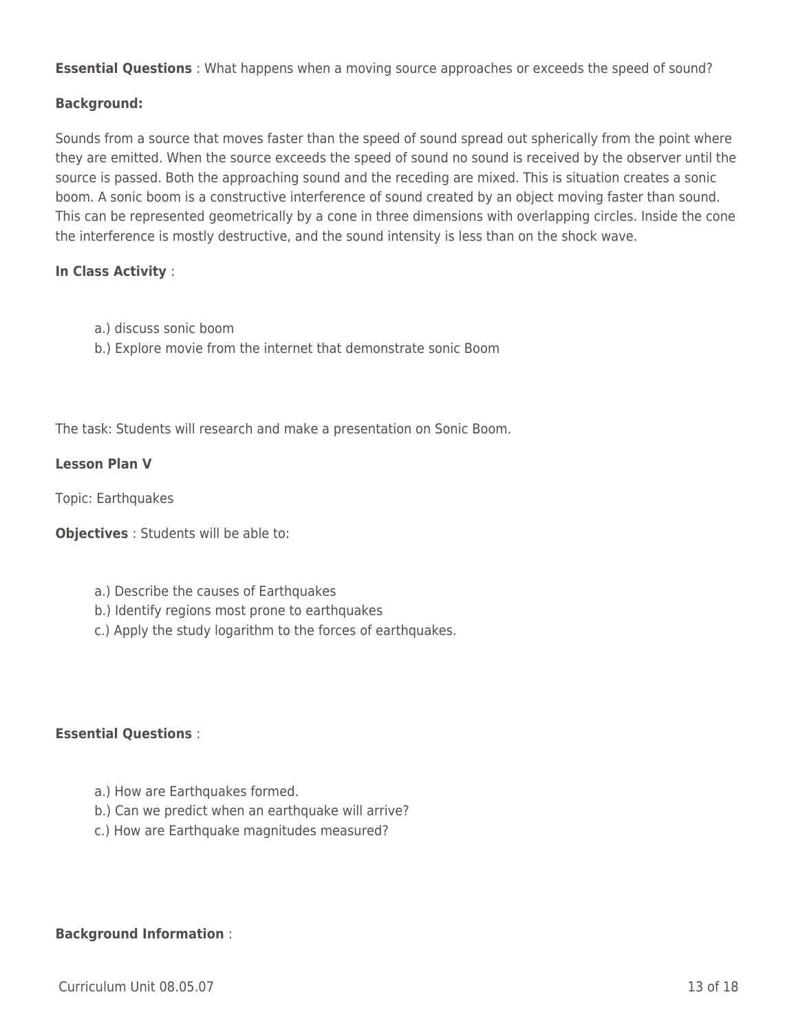**Essential Questions** : What happens when a moving source approaches or exceeds the speed of sound?

#### **Background:**

Sounds from a source that moves faster than the speed of sound spread out spherically from the point where they are emitted. When the source exceeds the speed of sound no sound is received by the observer until the source is passed. Both the approaching sound and the receding are mixed. This is situation creates a sonic boom. A sonic boom is a constructive interference of sound created by an object moving faster than sound. This can be represented geometrically by a cone in three dimensions with overlapping circles. Inside the cone the interference is mostly destructive, and the sound intensity is less than on the shock wave.

#### **In Class Activity** :

- a.) discuss sonic boom
- b.) Explore movie from the internet that demonstrate sonic Boom

The task: Students will research and make a presentation on Sonic Boom.

#### **Lesson Plan V**

Topic: Earthquakes

**Objectives** : Students will be able to:

- a.) Describe the causes of Earthquakes
- b.) Identify regions most prone to earthquakes
- c.) Apply the study logarithm to the forces of earthquakes.

# **Essential Questions** :

- a.) How are Earthquakes formed.
- b.) Can we predict when an earthquake will arrive?
- c.) How are Earthquake magnitudes measured?

#### **Background Information** :

 $Curir$  Unit 08.05.07 13 of 18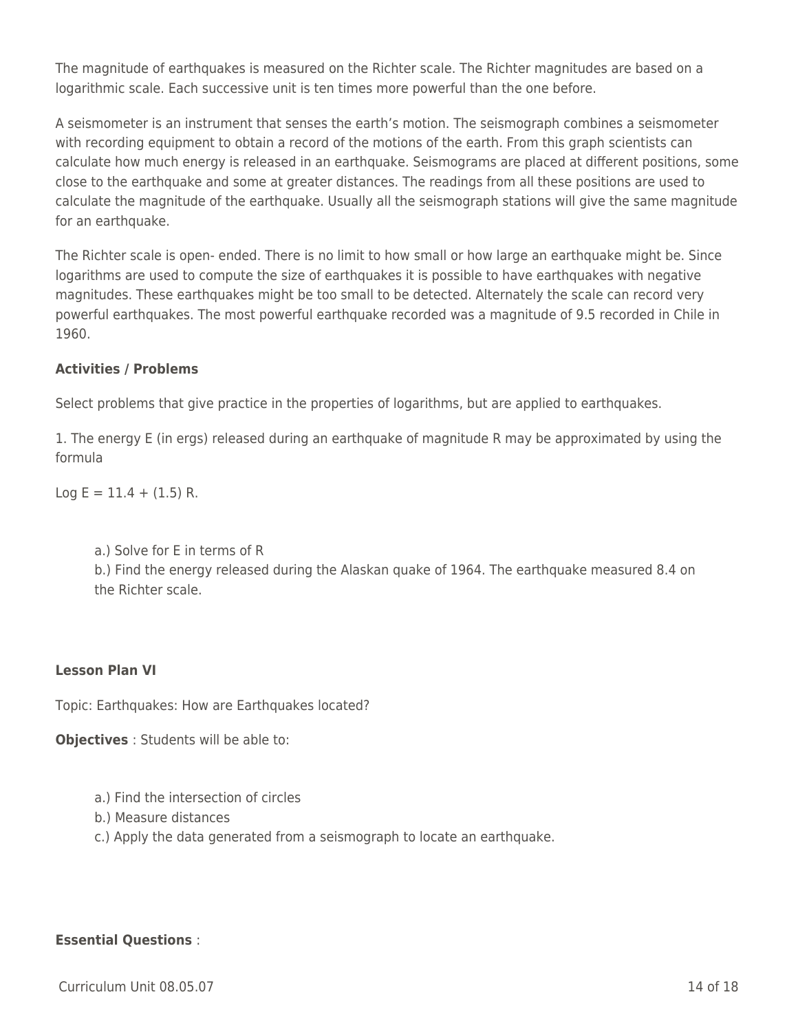The magnitude of earthquakes is measured on the Richter scale. The Richter magnitudes are based on a logarithmic scale. Each successive unit is ten times more powerful than the one before.

A seismometer is an instrument that senses the earth's motion. The seismograph combines a seismometer with recording equipment to obtain a record of the motions of the earth. From this graph scientists can calculate how much energy is released in an earthquake. Seismograms are placed at different positions, some close to the earthquake and some at greater distances. The readings from all these positions are used to calculate the magnitude of the earthquake. Usually all the seismograph stations will give the same magnitude for an earthquake.

The Richter scale is open- ended. There is no limit to how small or how large an earthquake might be. Since logarithms are used to compute the size of earthquakes it is possible to have earthquakes with negative magnitudes. These earthquakes might be too small to be detected. Alternately the scale can record very powerful earthquakes. The most powerful earthquake recorded was a magnitude of 9.5 recorded in Chile in 1960.

# **Activities / Problems**

Select problems that give practice in the properties of logarithms, but are applied to earthquakes.

1. The energy E (in ergs) released during an earthquake of magnitude R may be approximated by using the formula

 $Log E = 11.4 + (1.5) R$ .

a.) Solve for E in terms of R

b.) Find the energy released during the Alaskan quake of 1964. The earthquake measured 8.4 on the Richter scale.

# **Lesson Plan VI**

Topic: Earthquakes: How are Earthquakes located?

**Objectives** : Students will be able to:

- a.) Find the intersection of circles
- b.) Measure distances
- c.) Apply the data generated from a seismograph to locate an earthquake.

#### **Essential Questions** :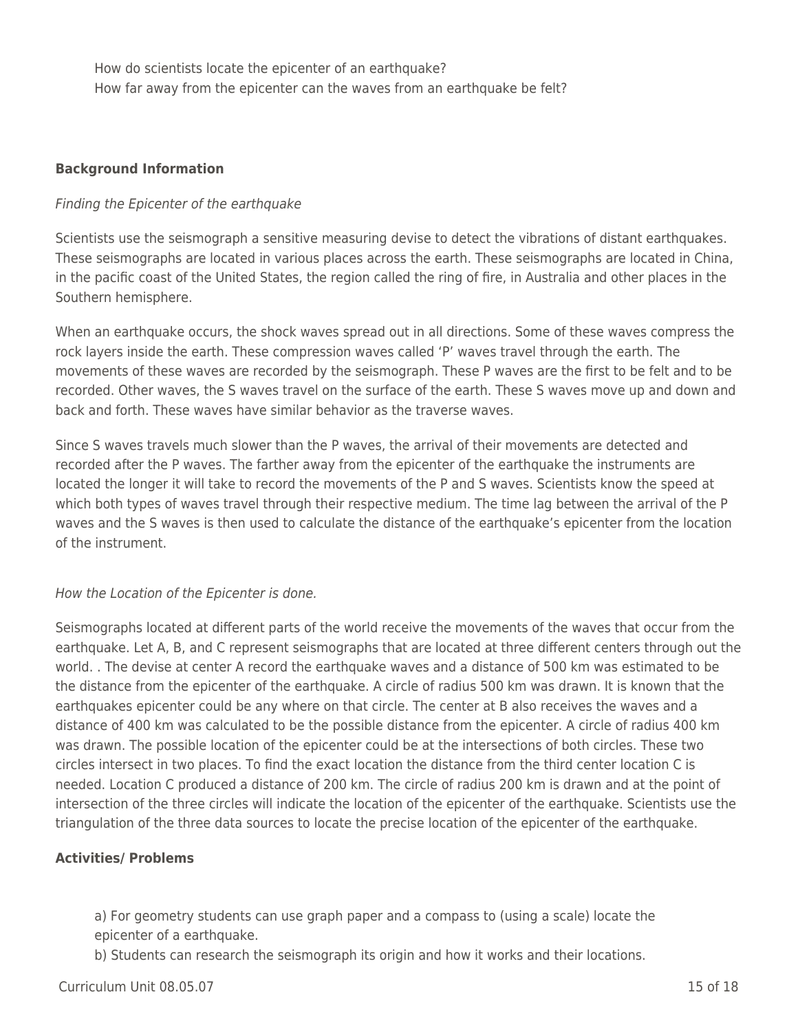How do scientists locate the epicenter of an earthquake? How far away from the epicenter can the waves from an earthquake be felt?

#### **Background Information**

#### Finding the Epicenter of the earthquake

Scientists use the seismograph a sensitive measuring devise to detect the vibrations of distant earthquakes. These seismographs are located in various places across the earth. These seismographs are located in China, in the pacific coast of the United States, the region called the ring of fire, in Australia and other places in the Southern hemisphere.

When an earthquake occurs, the shock waves spread out in all directions. Some of these waves compress the rock layers inside the earth. These compression waves called 'P' waves travel through the earth. The movements of these waves are recorded by the seismograph. These P waves are the first to be felt and to be recorded. Other waves, the S waves travel on the surface of the earth. These S waves move up and down and back and forth. These waves have similar behavior as the traverse waves.

Since S waves travels much slower than the P waves, the arrival of their movements are detected and recorded after the P waves. The farther away from the epicenter of the earthquake the instruments are located the longer it will take to record the movements of the P and S waves. Scientists know the speed at which both types of waves travel through their respective medium. The time lag between the arrival of the P waves and the S waves is then used to calculate the distance of the earthquake's epicenter from the location of the instrument.

#### How the Location of the Epicenter is done.

Seismographs located at different parts of the world receive the movements of the waves that occur from the earthquake. Let A, B, and C represent seismographs that are located at three different centers through out the world. . The devise at center A record the earthquake waves and a distance of 500 km was estimated to be the distance from the epicenter of the earthquake. A circle of radius 500 km was drawn. It is known that the earthquakes epicenter could be any where on that circle. The center at B also receives the waves and a distance of 400 km was calculated to be the possible distance from the epicenter. A circle of radius 400 km was drawn. The possible location of the epicenter could be at the intersections of both circles. These two circles intersect in two places. To find the exact location the distance from the third center location C is needed. Location C produced a distance of 200 km. The circle of radius 200 km is drawn and at the point of intersection of the three circles will indicate the location of the epicenter of the earthquake. Scientists use the triangulation of the three data sources to locate the precise location of the epicenter of the earthquake.

#### **Activities/ Problems**

a) For geometry students can use graph paper and a compass to (using a scale) locate the epicenter of a earthquake.

b) Students can research the seismograph its origin and how it works and their locations.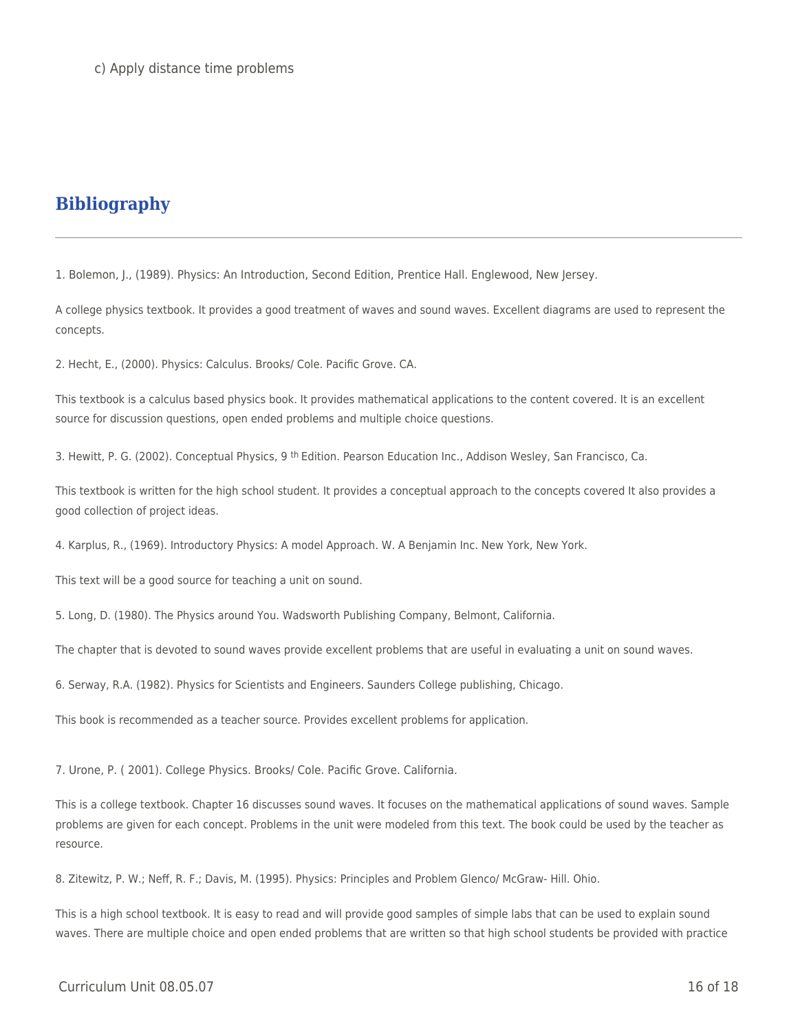# **Bibliography**

1. Bolemon, J., (1989). Physics: An Introduction, Second Edition, Prentice Hall. Englewood, New Jersey.

A college physics textbook. It provides a good treatment of waves and sound waves. Excellent diagrams are used to represent the concepts.

2. Hecht, E., (2000). Physics: Calculus. Brooks/ Cole. Pacific Grove. CA.

This textbook is a calculus based physics book. It provides mathematical applications to the content covered. It is an excellent source for discussion questions, open ended problems and multiple choice questions.

3. Hewitt, P. G. (2002). Conceptual Physics, 9<sup>th</sup> Edition. Pearson Education Inc., Addison Wesley, San Francisco, Ca.

This textbook is written for the high school student. It provides a conceptual approach to the concepts covered It also provides a good collection of project ideas.

4. Karplus, R., (1969). Introductory Physics: A model Approach. W. A Benjamin Inc. New York, New York.

This text will be a good source for teaching a unit on sound.

5. Long, D. (1980). The Physics around You. Wadsworth Publishing Company, Belmont, California.

The chapter that is devoted to sound waves provide excellent problems that are useful in evaluating a unit on sound waves.

6. Serway, R.A. (1982). Physics for Scientists and Engineers. Saunders College publishing, Chicago.

This book is recommended as a teacher source. Provides excellent problems for application.

7. Urone, P. ( 2001). College Physics. Brooks/ Cole. Pacific Grove. California.

This is a college textbook. Chapter 16 discusses sound waves. It focuses on the mathematical applications of sound waves. Sample problems are given for each concept. Problems in the unit were modeled from this text. The book could be used by the teacher as resource.

8. Zitewitz, P. W.; Neff, R. F.; Davis, M. (1995). Physics: Principles and Problem Glenco/ McGraw- Hill. Ohio.

This is a high school textbook. It is easy to read and will provide good samples of simple labs that can be used to explain sound waves. There are multiple choice and open ended problems that are written so that high school students be provided with practice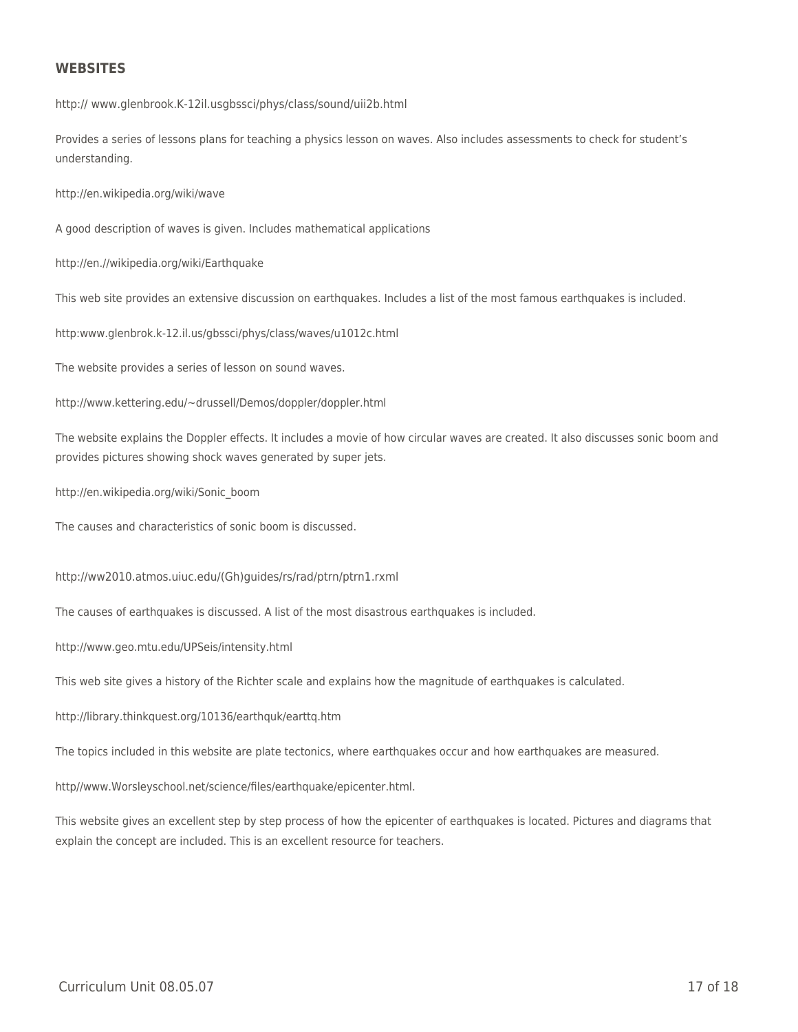#### **WEBSITES**

http:// www.glenbrook.K-12il.usgbssci/phys/class/sound/uii2b.html

Provides a series of lessons plans for teaching a physics lesson on waves. Also includes assessments to check for student's understanding.

http://en.wikipedia.org/wiki/wave

A good description of waves is given. Includes mathematical applications

http://en.//wikipedia.org/wiki/Earthquake

This web site provides an extensive discussion on earthquakes. Includes a list of the most famous earthquakes is included.

http:www.glenbrok.k-12.il.us/gbssci/phys/class/waves/u1012c.html

The website provides a series of lesson on sound waves.

http://www.kettering.edu/~drussell/Demos/doppler/doppler.html

The website explains the Doppler effects. It includes a movie of how circular waves are created. It also discusses sonic boom and provides pictures showing shock waves generated by super jets.

http://en.wikipedia.org/wiki/Sonic\_boom

The causes and characteristics of sonic boom is discussed.

http://ww2010.atmos.uiuc.edu/(Gh)guides/rs/rad/ptrn/ptrn1.rxml

The causes of earthquakes is discussed. A list of the most disastrous earthquakes is included.

http://www.geo.mtu.edu/UPSeis/intensity.html

This web site gives a history of the Richter scale and explains how the magnitude of earthquakes is calculated.

http://library.thinkquest.org/10136/earthquk/earttq.htm

The topics included in this website are plate tectonics, where earthquakes occur and how earthquakes are measured.

http//www.Worsleyschool.net/science/files/earthquake/epicenter.html.

This website gives an excellent step by step process of how the epicenter of earthquakes is located. Pictures and diagrams that explain the concept are included. This is an excellent resource for teachers.